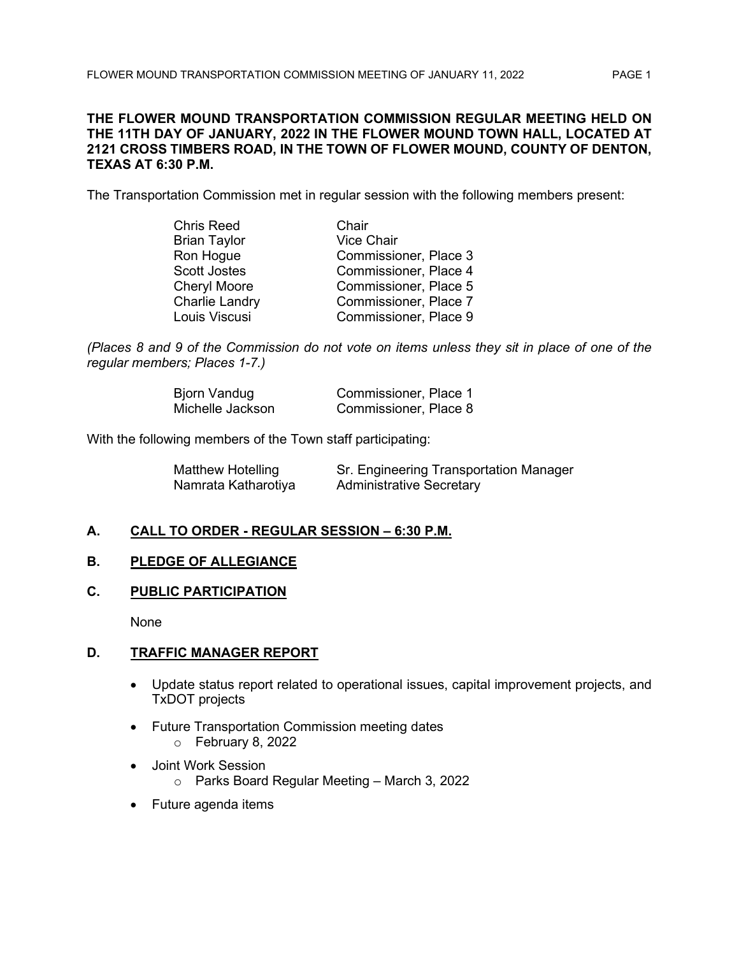## **THE FLOWER MOUND TRANSPORTATION COMMISSION REGULAR MEETING HELD ON THE 11TH DAY OF JANUARY, 2022 IN THE FLOWER MOUND TOWN HALL, LOCATED AT 2121 CROSS TIMBERS ROAD, IN THE TOWN OF FLOWER MOUND, COUNTY OF DENTON, TEXAS AT 6:30 P.M.**

The Transportation Commission met in regular session with the following members present:

| <b>Chris Reed</b>     | Chair                 |
|-----------------------|-----------------------|
| <b>Brian Taylor</b>   | <b>Vice Chair</b>     |
| Ron Hogue             | Commissioner, Place 3 |
| <b>Scott Jostes</b>   | Commissioner, Place 4 |
| <b>Cheryl Moore</b>   | Commissioner, Place 5 |
| <b>Charlie Landry</b> | Commissioner, Place 7 |
| Louis Viscusi         | Commissioner, Place 9 |

*(Places 8 and 9 of the Commission do not vote on items unless they sit in place of one of the regular members; Places 1-7.)*

| Bjorn Vandug     | Commissioner, Place 1 |
|------------------|-----------------------|
| Michelle Jackson | Commissioner, Place 8 |

With the following members of the Town staff participating:

| Matthew Hotelling   | Sr. Engineering Transportation Manager |
|---------------------|----------------------------------------|
| Namrata Katharotiya | <b>Administrative Secretary</b>        |

# **A. CALL TO ORDER - REGULAR SESSION – 6:30 P.M.**

# **B. PLEDGE OF ALLEGIANCE**

# **C. PUBLIC PARTICIPATION**

None

# **D. TRAFFIC MANAGER REPORT**

- Update status report related to operational issues, capital improvement projects, and TxDOT projects
- Future Transportation Commission meeting dates
	- o February 8, 2022
- Joint Work Session
	- o Parks Board Regular Meeting March 3, 2022
- Future agenda items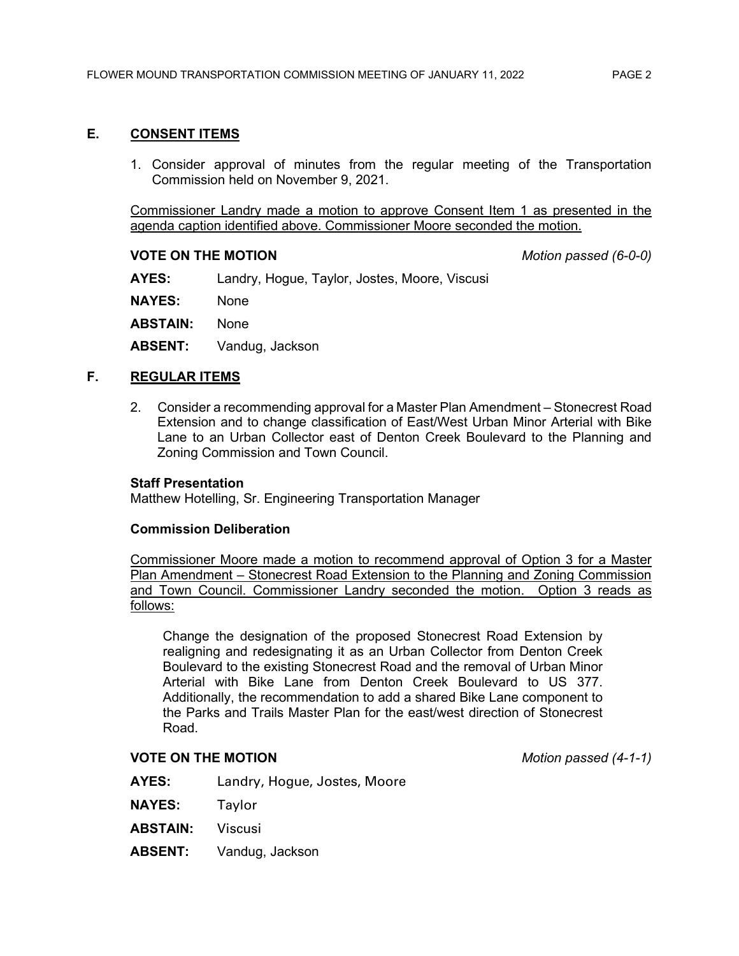# **E. CONSENT ITEMS**

1. Consider approval of minutes from the regular meeting of the Transportation Commission held on November 9, 2021.

Commissioner Landry made a motion to approve Consent Item 1 as presented in the agenda caption identified above. Commissioner Moore seconded the motion.

#### **VOTE ON THE MOTION** *Motion passed (6-0-0)*

**AYES:** Landry, Hogue, Taylor, Jostes, Moore, Viscusi

**NAYES:** None

**ABSTAIN:** None

**ABSENT:** Vandug, Jackson

## **F. REGULAR ITEMS**

2. Consider a recommending approval for a Master Plan Amendment – Stonecrest Road Extension and to change classification of East/West Urban Minor Arterial with Bike Lane to an Urban Collector east of Denton Creek Boulevard to the Planning and Zoning Commission and Town Council.

#### **Staff Presentation**

Matthew Hotelling, Sr. Engineering Transportation Manager

#### **Commission Deliberation**

Commissioner Moore made a motion to recommend approval of Option 3 for a Master Plan Amendment – Stonecrest Road Extension to the Planning and Zoning Commission and Town Council. Commissioner Landry seconded the motion. Option 3 reads as follows:

Change the designation of the proposed Stonecrest Road Extension by realigning and redesignating it as an Urban Collector from Denton Creek Boulevard to the existing Stonecrest Road and the removal of Urban Minor Arterial with Bike Lane from Denton Creek Boulevard to US 377. Additionally, the recommendation to add a shared Bike Lane component to the Parks and Trails Master Plan for the east/west direction of Stonecrest Road.

## **VOTE ON THE MOTION** *Motion passed (4-1-1)*

- **AYES:** Landry, Hogue, Jostes, Moore
- **NAYES:** Taylor
- **ABSTAIN:** Viscusi
- **ABSENT:** Vandug, Jackson